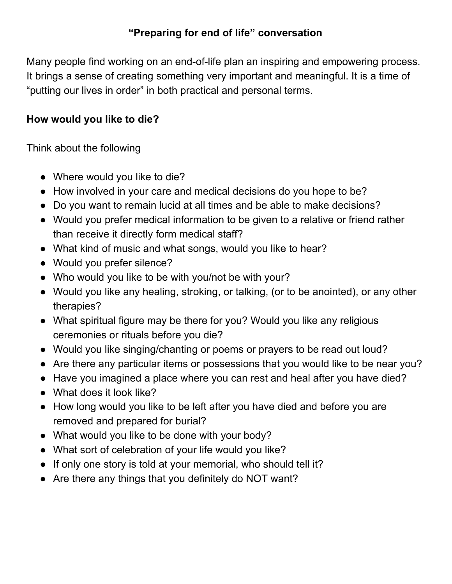## **"Preparing for end of life" conversation**

Many people find working on an end-of-life plan an inspiring and empowering process. It brings a sense of creating something very important and meaningful. It is a time of "putting our lives in order" in both practical and personal terms.

## **How would you like to die?**

Think about the following

- Where would you like to die?
- How involved in your care and medical decisions do you hope to be?
- Do you want to remain lucid at all times and be able to make decisions?
- Would you prefer medical information to be given to a relative or friend rather than receive it directly form medical staff?
- What kind of music and what songs, would you like to hear?
- Would you prefer silence?
- Who would you like to be with you/not be with your?
- Would you like any healing, stroking, or talking, (or to be anointed), or any other therapies?
- What spiritual figure may be there for you? Would you like any religious ceremonies or rituals before you die?
- Would you like singing/chanting or poems or prayers to be read out loud?
- Are there any particular items or possessions that you would like to be near you?
- Have you imagined a place where you can rest and heal after you have died?
- What does it look like?
- How long would you like to be left after you have died and before you are removed and prepared for burial?
- What would you like to be done with your body?
- What sort of celebration of your life would you like?
- If only one story is told at your memorial, who should tell it?
- Are there any things that you definitely do NOT want?